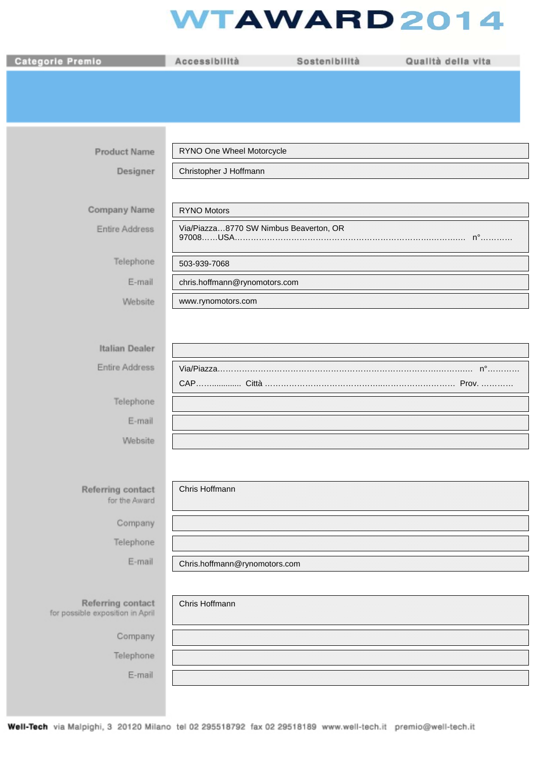## **WTAWARD2014**

| Categorie Premio                                      | Accessibilità                          | Sostenibilità | Qualità della vita |
|-------------------------------------------------------|----------------------------------------|---------------|--------------------|
|                                                       |                                        |               |                    |
|                                                       |                                        |               |                    |
|                                                       |                                        |               |                    |
| <b>Product Name</b>                                   | RYNO One Wheel Motorcycle              |               |                    |
| Designer                                              | Christopher J Hoffmann                 |               |                    |
|                                                       |                                        |               |                    |
| Company Name                                          | <b>RYNO Motors</b>                     |               |                    |
| Entire Address                                        | Via/Piazza8770 SW Nimbus Beaverton, OR |               |                    |
| Telephone                                             | 503-939-7068                           |               |                    |
| E-mail                                                | chris.hoffmann@rynomotors.com          |               |                    |
| Website                                               | www.rynomotors.com                     |               |                    |
|                                                       |                                        |               |                    |
| Italian Dealer                                        |                                        |               |                    |
| Entire Address                                        |                                        |               |                    |
|                                                       |                                        |               |                    |
| Telephone                                             |                                        |               |                    |
| E-mail                                                |                                        |               |                    |
| Website                                               |                                        |               |                    |
|                                                       |                                        |               |                    |
| Referring contact<br>for the Award                    | Chris Hoffmann                         |               |                    |
| Company                                               |                                        |               |                    |
| Telephone                                             |                                        |               |                    |
| E-mail                                                | Chris.hoffmann@rynomotors.com          |               |                    |
|                                                       |                                        |               |                    |
| Referring contact<br>for possible exposition in April | Chris Hoffmann                         |               |                    |
| Company                                               |                                        |               |                    |
| Telephone                                             |                                        |               |                    |
| E-mail                                                |                                        |               |                    |
|                                                       |                                        |               |                    |